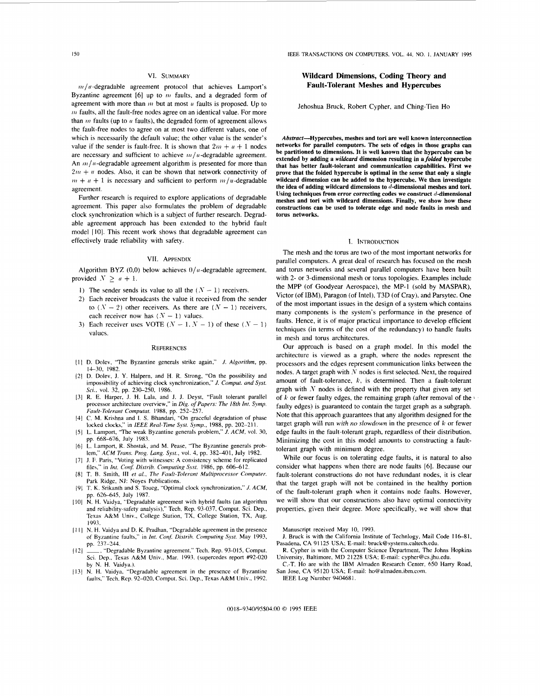### VI. SUMMARY

 $m/u$ -degradable agreement protocol that achieves Lamport's Byzantine agreement  $[6]$  up to  $\hat{m}$  faults, and a degraded form of agreement with more than  $m$  but at most  $u$  faults is proposed. Up to *In* faults, all the fault-free nodes agree on an identical value. For more than  $m$  faults (up to  $u$  faults), the degraded form of agreement allows the fault-free nodes to agree on **at** most two different values, one of which is necessarily the default value; the other value is the sender's value if the sender is fault-free. It is shown that  $2m + u + 1$  nodes are necessary and sufficient to achieve  $m/u$ -degradable agreement. An  $m/u$ -degradable agreement algorithm is presented for more than  $2m + u$  nodes. Also, it can be shown that network connectivity of  $m + u + 1$  is necessary and sufficient to perform  $m/u$ -degradable agreement.

Further research is required to explore applications of degradable agreement. This paper also formulates the problem of degradable clock synchronization which is **a** subject of further research. Degradable agreement approach has been extended to the hybrid fault model [IO]. This recent work shows that degradable agreement can effectively trade reliability with safety.

#### VII. APPENDIX

Algorithm BYZ (0,0) below achieves  $0/u$ -degradable agreement, provided  $N > u + 1$ .

- 1) The sender sends its value to all the  $(N-1)$  receivers.
- 2) Each receiver broadcasts the value it received from the sender to  $(N - 2)$  other receivers. As there are  $(N - 1)$  receivers, each receiver now has  $(N - 1)$  values.
- 3) Each receiver uses VOTE  $(N 1, N 1)$  of these  $(N 1)$ values.

#### **REFERENCES**

- D. Dolev, "The Byzantine generals strike again," *J. Algorithm,* pp. 14-30, 1982.
- D. Dolev, **J. Y.** Halpern, and H. R. Strong, "On the possibility and impossibility of achieving clock synchronization," *J. Comput. and Sysr. Sci.*, vol. 32, pp. 230-250, 1986.
- R. E. Harper, **J.** H. Lala, and J. **J.** Deyst, "Fault tolerant parallel processor architecture overview," in *Dig.* of *Papers: The 18th Int. Symp.*
- *Fuult-Eilerunt Computut.* 1988, pp. 252-257. C. M. Krishna and **1.** S. Bhandari, "On graceful degradation of phase  $[4]$ **locked** clocks." in *IEEE Real-Time Syst. Sjwzp.,* 1988, pp. 202-21 I.
- **L.** Lamport. "The weak Byzantine generals problem," *J. ACM,* vol. 30, pp. 668-676, July 1983.
- **L.** Lamport, R. Shostak, and M. Pease, "The Byzantine generals prob- $[6]$ lem,'' **.4CM** *Trans. Prog. Lang. Syst.,* vol. 4, pp. 382-401, July 1982.
- **J. F.** Paris, "Voting with witnesses: A consistency scheme for replicated file\," in *Int. Con\$ Distrih. Computing Syst.* 1986, pp. 606-612.
- $[8]$ T. R. Smith, **111** *et al., The Fuult-Tolerunt Multiprocessor Computer.*  Park Ridge, **NJ:** Noyes Publications.
- T. **K.** Srikanth and **S.** Toueg, "Optimal clock synchronization," *J. ACM,*  pp. 626-645, July 1987.
- [10] N. H. Vaidya, "Degradable agreement with hybrid faults (an algorithm and reliability-safety analysis)," Tech. Rep. 93-037, Comput. Sci. Dep., Texas A&M Univ., College Station, TX, College Station, TX, Aug. 1993.
- [11] N. H. Vaidya and D. K. Pradhan, "Degradable agreement in the presence of Byrantine **fa~lts,"** in *hit. Con\$ Disrrih. Computing Sysf.* May 1993, pp. 231-244.
- \_\_, "Degradable Byzantine agreement," Tech. Rep. 93-015, Comput.  $[12]$ Sci. Dcp., Texas **A&M** Univ., Mar. 1993. (supercedes report #92-020 by N. H. Vaidya.).
- N. H. Vaidya, "Degradable agreement in the presence of Byzantine  $[13]$ faults," Tech. Rep. 92-020, Comput. Sci. Dep., Texas A&M Univ., 1992.

I50 IEEE TRANSACTIONS ON COMPUTERS, VOL. 44, NO. **1,** JANUARY 1995

# **Wildcard Dimensions, Coding Theory and Fault-Tolerant Meshes and Hypercubes**

Jehoshua Bruck, Robert Cypher, and Ching-Tien Ho

**Absstract-Hypercubes, meshes and tori are well known interconnection networks for parallel computers. The sets of edges in those graphs can be partitioned to dimensions. It is well known that the hypercube can be extended by adding a** *wildcard* **dimension resulting in a** *folded* **hypercube that has better fault-tolerant and communication capabilities. First we prove that the folded hypercube is optimal in the sense that only a single wildcard dimension can be added to the hypercube. We then investigate the idea of adding wildcard dimensions to d-dimensional meshes and tori.**  Using techniques from error correcting codes we construct d-dimensional **meshes and tori with wildcard dimensions. Finally, we show how these constructions can be used to tolerate edge and node faults in mesh and torus networks.** 

#### I. INTRODUCTION

The mesh and the torus are two of the most important networks for parallel computers. A great deal of research has focused on the mesh and torus networks and several parallel computers have been built with 2- or 3-dimensional mesh or torus topologies. Examples include the MPP (of Goodyear Aerospace), the MP-I (sold by MASPAR), Victor (of IBM), Paragon (of Intel), T3D (of Cray), and Parsytec. One of the most important issues in the design **of a** system which contains many components is the system's performance in the presence of faults. Hence, it is **of** major practical importance to develop efficient techniques (in terms of the cost of the redundancy) to handle faults in mesh and torus architectures.

Our approach is based on **a** graph model. In this model the architecture is viewed **as a** graph, where the nodes represent the processors and the edges represent communication links between the nodes. A target graph with *3* nodes is first selected. Next, the required amount of fault-tolerance, *k,* is determined. Then a fault-tolerant graph with *S* nodes is defined with the property that given any set of *k* or fewer faulty edges, the remaining graph (after removal *of* the **i**  faulty edges) is guaranteed to contain the target graph **as a** subgraph. Note that this approach guarantees that any algorithm designed for the target graph will run *with no slowdown* in the presence of *k* or fewer edge faults in the fault-tolerant graph, regardless of their distribution. Minimizing the cost in this model amounts to constructing **a** faulttolerant graph with minimum degree.

While our focus is on tolerating edge faults, it is natural to also consider what happens when there are node faults *[6].* Because our fault-tolerant constructions do not have redundant nodes, it is clear that the target graph will not be contained in the healthy portion of the fault-tolerant graph when it contains node faults. However, we will show that our constructions also have optimal connectivity properties, given their degree. More specifically, we will show that

Manuscript received May 10, 1993.

- **J.** Bruck is with the California Institute of Technlogy, Mail Code 116-81, Pasadena, CA 91 125 USA; E-mail: [bruck@systems.caltech.edu](mailto:bruck@systems.caltech.edu).
- R. Cypher is with the Computer Science Department. The Johns Hopkins University, Baltimore, MD 21228 USA; E-mail: [cypher@cs.jhu.edu.](mailto:cypher@cs.jhu.edu)
- C.-T. Ho are with the IBM Almaden Research Center, *650* Harry Road, San Jose, CA 95120 USA; E-mail: [ho@aImaden.ibm.com](mailto:ho@aImaden.ibm.com).
- IEEE Log Number 940468 **1.**

**(H)** I8-9340/95\$04.(Kl *0* 1995 IEEE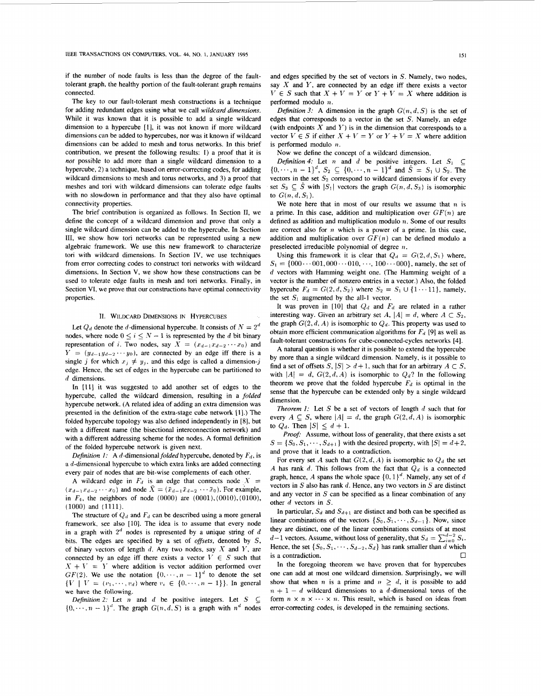if the number of node faults is less than the degree of the faulttolerant graph, the healthy portion of the fault-tolerant graph remains connected.

The key to our fault-tolerant mesh constructions is a technique for adding redundant edges using what we call *wildcard dimensions.*  While it was known that it is possible to add a single wildcard dimension to a hypercube [I], it was not known if more wildcard dimensions can be added to hypercubes, nor was it known if wildcard dimensions can be added to mesh and torus networks. In this brief contribution, we present the following results: I) a proof that it is *not* possible to add more than a single wildcard dimension to a hypercube, 2) a technique, based on error-correcting codes, for adding wildcard dimensions to mesh and torus networks, and 3) a proof that meshes and tori with wildcard dimensions can tolerate edge faults with no slowdown in performance and that they also have optimal connectivity properties.

The brief contribution is organized as follows. In Section **11,** we define the concept of a wildcard dimension and prove that only a single wildcard dimension can be added to the hypercube. In Section 111, we show how tori networks can be represented using a new algebraic framework. We use this new framework to characterize tori with wildcard dimensions. In Section IV, we use techniques from error correcting codes to construct tori networks with wildcard dimensions. In Section V, we show how these constructions can be used to tolerate edge faults in mesh and tori networks. Finally, in Section VI, we prove that our constructions have optimal connectivity properties.

### **11.** WILDCARD **DIMENSIONS** IN HYPERCUBES

Let  $Q_d$  denote the d-dimensional hypercube. It consists of  $N = 2^d$  nodes, where node  $0 \le i \le N - 1$  is represented by the d bit binary nodes, where node  $0 \le i \le N - 1$  is represented by the *d* bit binary representation of *i*. Two nodes, say  $X = (x_{d-1}x_{d-2} \cdots x_0)$  and  $Y = (y_{d-1}y_{d-2} \cdots y_0)$ , are connected by an edge iff there is a single *j* for which  $x_j \neq y_j$ , and this edge is called a dimension-*j* edge. Hence, the set of edges in the hypercube can be partitioned to *d* dimensions.

In [li] it was suggested to add another set of edges to the hypercube, called the wildcard dimension, resulting in a *folded*  hypercube network. **(A** related idea of adding an extra dimension was presented **in** the definition of the extra-stage cube network **[I].)** The folded hypercube topology was also defined independently in **[8].** but with a different name (the bisectional interconnection network) and with a different addressing scheme for the nodes. A formal definition of the folded hypercube network is given next.

*Definition 1:* A *d*-dimensional *folded* hypercube, denoted by  $F<sub>d</sub>$ , is a d-dimensional hypercube to which extra links are added connecting every pair of nodes that are bit-wise complements of each other.

A wildcard edge in  $F_d$  is an edge that connects node  $X =$  $(x_{d-1}x_{d-2} \cdots x_0)$  and node  $\bar{X} = (\bar{x}_{d-1}\bar{x}_{d-2} \cdots \bar{x}_0)$ . For example, in  $F_4$ , the neighbors of node  $(0000)$  are  $(0001)$ ,  $(0010)$ ,  $(0100)$ , (1000) and (1111).

The structure of  $Q_d$  and  $F_d$  can be described using a more general framework, see also [10]. The idea is to assume that every node in a graph with  $2<sup>d</sup>$  nodes is represented by a unique string of d bits. The edges are specified by a set of *offsets*, denoted by *S*, of binary vectors of length *d.* Any two nodes, say X and *Y,* are connected by an edge iff there exists a vector  $V \in S$  such that  $X + V = Y$  where addition is vector addition performed over  $GF(2)$ . We use the notation  $\{0, \dots, n-1\}^d$  to denote the set  $\{V \mid V = (v_1, \dots, v_d)$  where  $v_i \in \{0, \dots, n-1\} \}$ . In general we have the following.

 $\{0, \dots, n-1\}^d$ . The graph  $G(n, d, S)$  is a graph with  $n^d$  nodes *Definition 2:* Let *n* and *d* be positive integers. Let  $S \subseteq$  and edges specified by the set of vectors in *S.* Namely, two nodes, say *X* and *Y,* are connected by an edge iff there exists a vector  $V \in S$  such that  $X + V = Y$  or  $Y + V = X$  where addition is performed modulo *n.* 

*Definition 3:* A dimension in the graph  $G(n, d, S)$  is the set of edges that corresponds to a vector in the set *S.* Namely, an edge (with endpoints  $X$  and  $Y$ ) is in the dimension that corresponds to a vector  $V \in S$  if either  $X + V = Y$  or  $Y + V = X$  where addition is performed modulo *n.* 

Now we define the concept of a wildcard dimension.

*Definition 4:* Let *n* and *d* be positive integers. Let  $S_1 \subseteq$  $\{0, \dots, n-1\}^d$ ,  $S_2 \subseteq \{0, \dots, n-1\}^d$  and  $\hat{S} = S_1 \cup S_2$ . The vectors in the set  $S_2$  correspond to wildcard dimensions if for every set  $S_3 \subseteq \hat{S}$  with  $|S_1|$  vectors the graph  $G(n, d, S_3)$  is isomorphic to  $G(n,d,S_1)$ .

We note here that in most of our results we assume that  $n$  is a prime. In this case, addition and multiplication over  $GF(n)$  are defined as addition and multiplication modulo  $n$ . Some of our results are correct also for *n* which is a power of a prime. In this case, addition and multiplication over  $GF(n)$  can be defined modulo a preselected irreducible polynomial of degree  $n$ .

Using this framework it is clear that  $Q_d = G(2, d, S_1)$  where,  $S_1 = \{000 \cdots 001, 000 \cdots 010, \cdots, 100 \cdots 000\}$ , namely, the set of d vectors with Hamming weight one. (The Hamming weight of a vector is the number of nonzero entries in a vector.) Also, the folded hypercube  $F_d = G(2, d, S_2)$  where  $S_2 = S_1 \cup \{1 \cdots 11\}$ , namely, the set  $S_1$  augmented by the all-1 vector.

It was proven in [10] that  $Q_d$  and  $F_d$  are related in a rather interesting way. Given an arbitrary set  $A$ ,  $|A| = d$ , where  $A \subset S_2$ , the graph  $G(2, d, A)$  is isomorphic to  $Q_d$ . This property was used to obtain more efficient communication algorithms for  $F<sub>d</sub>$  [9] as well as fault-tolerant constructions for cube-connected-cycles networks **[4].** 

**A** natural question is whether it is possible to extend the hypercube by more than a single wildcard dimension. Namely, is it possible to find a set of offsets  $S$ ,  $|S| > d+1$ , such that for an arbitrary  $A \subset S$ , with  $|A| = d$ ,  $G(2,d,A)$  is isomorphic to  $Q_d$ ? In the following theorem we prove that the folded hypercube  $F_d$  is optimal in the sense that the hypercube can be extended only by a single wildcard dimension.

*Theorem 1:* Let *S* be a set of vectors of length d such that for every  $A \subseteq S$ , where  $|A| = d$ , the graph  $G(2, d, A)$  is isomorphic to  $Q_d$ . Then  $|S| \leq d + 1$ .

*Proof:* Assume, without loss of generality, that there exists a set  $S = \{S_0, S_1, \dots, S_{d+1}\}$  with the desired property, with  $|S| = d+2$ , and prove that it leads to a contradiction.

For every set A such that  $G(2, d, A)$  is isomorphic to  $Q_d$  the set *A* has rank *d*. This follows from the fact that  $Q_d$  is a connected graph, hence, *A* spans the whole space  $\{0, 1\}^d$ . Namely, any set of *d* vectors in *S* also has rank *d.* Hence, any two vectors in *S* are distinct and any vector in *S* can be specified as a linear combination of any other *d* vectors in *S.* 

In particular,  $S_d$  and  $S_{d+1}$  are distinct and both can be specified as linear combinations of the vectors  $\{S_0, S_1, \dots, S_{d-1}\}\$ . Now, since they are distinct, one of the linear combinations consists of at most  $d-1$  vectors. Assume, without loss of generality, that  $S_d = \sum_{i=0}^{d-2} S_i$ . Hence, the set  $\{S_0, S_1, \dots, S_{d-2}, S_d\}$  has rank smaller than *d* which is a contradiction.  $\Box$ 

In the foregoing theorem we have proven that for hypercubes one can add at most one wildcard dimension. Surprisingly, we will show that when *n* is a prime and  $n \ge d$ , it is possible to add  $n + 1 - d$  wildcard dimensions to a d-dimensional torus of the form  $n \times n \times \cdots \times n$ . This result, which is based on ideas from error-correcting codes, is developed in the remaining sections.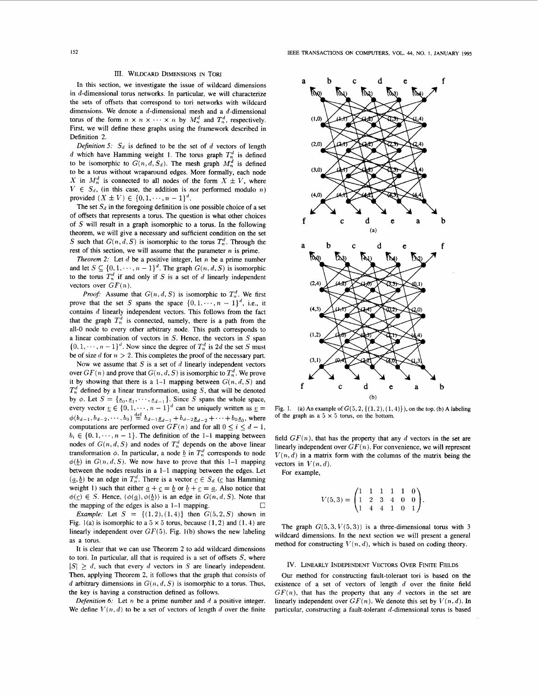## III. WILDCARD DIMENSIONS IN TORI

In this section, we investigate the issue of wildcard dimensions in  $d$ -dimensional torus networks. In particular, we will characterize the sets of offsets that correspond to tori networks with wildcard dimensions. We denote a d-dimensional mesh and a d-dimensional torus of the form  $n \times n \times \cdots \times n$  by  $M_n^d$  and  $T_n^d$ , respectively. First, we will define these graphs using the framework described in Definition 2.

*Definition 5:*  $S_d$  is defined to be the set of d vectors of length d which have Hamming weight 1. The torus graph  $T_n^d$  is defined to be isomorphic to  $G(n, d, S_d)$ . The mesh graph  $M_n^d$  is defined to be a torus without wraparound edges. More formally, each node *X* in  $M_n^d$  is connected to all nodes of the form  $X \pm V$ , where  $V \in S_d$ , (in this case, the addition is *not* performed modulo *n*) provided  $(X \pm V) \in \{0, 1, \dots, n - 1\}^d$ .

The set  $S_d$  in the foregoing definition is one possible choice of a set of offsets that represents a torus. The question is what other choices of *S* will result in a graph isomorphic to a torus. In the following theorem, we will give a necessary and sufficient condition on the set *S* such that  $G(n, d, S)$  is isomorphic to the torus  $T_n^d$ . Through the rest of this section, we will assume that the parameter *n* is prime.

*Theorem* **2:** Let *d* be a positive integer, let n be a prime number and let  $S \subseteq \{0, 1, \dots, n - 1\}^d$ . The graph  $G(n, d, S)$  is isomorphic to the torus  $T_n^d$  if and only if S is a set of d linearly independent vectors over  $GF(n)$ .

*Proof:* Assume that  $G(n, d, S)$  is isomorphic to  $T_n^d$ . We first prove that the set *S* spans the space  $\{0, 1, \dots, n - 1\}^d$ , i.e., it contains d linearly independent vectors. This follows from the fact that the graph  $T_n^d$  is connected, namely, there is a path from the all-0 node to every other arbitrary node. This path corresponds to a linear combination of vectors in *S.* Hence, the vectors in *S* span  $\{0, 1, \dots, n-1\}^d$ . Now since the degree of  $T_n^d$  is 2d the set S must be of size *d* for  $n > 2$ . This completes the proof of the necessary part.

Now we assume that  $S$  is a set of  $d$  linearly independent vectors over  $GF(n)$  and prove that  $G(n, d, S)$  is isomorphic to  $T_n^d$ . We prove it by showing that there is a 1-1 mapping between  $G(n, d, S)$  and  $T_n^d$  defined by a linear transformation, using *S*, that will be denoted by  $\phi$ . Let  $S = \{s_0, s_1, \dots, s_{d-1}\}$ . Since S spans the whole space, every vector  $\underline{v} \in \{0, 1, \dots, n-1\}^d$  can be uniquely written as  $\underline{v} =$  $\phi(b_{d-1}, b_{d-2}, \dots, b_0) \stackrel{\text{def}}{=} b_{d-1} \underline{s}_{d-1} + b_{d-2} \underline{s}_{d-2} + \dots + b_0 \underline{s}_0$ , where computations are performed over  $GF(n)$  and for all  $0 \le i \le d-1$ , computations are performed over  $GF(n)$  and for all  $0 \le i \le d-1$ ,  $b_i \in \{0, 1, \dots, n-1\}$ . The definition of the 1-1 mapping between nodes of  $G(n, d, S)$  and nodes of  $T_n^d$  depends on the above linear transformation  $\phi$ . In particular, a node  $\underline{b}$  in  $T_n^d$  corresponds to node  $\phi(\underline{b})$  in  $G(n, d, S)$ . We now have to prove that this 1-1 mapping between the nodes results in a 1-1 mapping between the edges. Let  $(a, b)$  be an edge in  $T_n^d$ . There is a vector  $c \in S_d$  (c has Hamming weight 1) such that either  $\underline{a} + \underline{c} = \underline{b}$  or  $\underline{b} + \underline{c} = \underline{a}$ . Also notice that  $\phi(\underline{c}) \in S$ . Hence,  $(\phi(\underline{a}), \phi(\underline{b}))$  is an edge in  $G(n, d, S)$ . Note that *0*  the mapping of the edges is also a 1-1 mapping.

*Example:* Let  $S = \{(1,2),(1,4)\}$  then  $G(5,2,S)$  shown in Fig. 1(a) is isomorphic to a  $5 \times 5$  torus, because (1, 2) and (1, 4) are linearly independent over *GF(5).* Fig. I(b) shows the new labeling as a torus.

It is clear that we can use Theorem 2 to add wildcard dimensions to tori. In particular, all that is required is a set of offsets *S,* where  $|S| > d$ , such that every *d* vectors in *S* are linearly independent. Then, applying Theorem *2,* it follows that the graph that consists of d arbitrary dimensions in  $G(n, d, S)$  is isomorphic to a torus. Thus, the key is having a construction defined as follows.

*Defenition 6:* Let  $n$  be a prime number and  $d$  a positive integer. We define  $V(n, d)$  to be a set of vectors of length  $d$  over the finite



Fig. 1. **(a)** An example of  $G(5, 2, \{(1,2), (1,4)\})$ , on the top. **(b)** A labeling of the graph as a  $5 \times 5$  torus, on the bottom.

field  $GF(n)$ , that has the property that any  $d$  vectors in the set are linearly independent over *GF( n).* For convenience, we will represent  $V(n, d)$  in a matrix form with the columns of the matrix being the vectors in  $V(n, d)$ .

For example,

$$
V(5,3) = \begin{pmatrix} 1 & 1 & 1 & 1 & 1 & 0 \\ 1 & 2 & 3 & 4 & 0 & 0 \\ 1 & 4 & 4 & 1 & 0 & 1 \end{pmatrix}.
$$

The graph  $G(5,3, V(5,3))$  is a three-dimensional torus with 3 wildcard dimensions. In the next section we will present a general method for constructing  $V(n, d)$ , which is based on coding theory.

### IV. LINEARLY INDEPENDENT VECTORS OVER FINITE FIELDS

Our method for constructing fault-tolerant tori is based on the existence of a set of vectors of length  $d$  over the finite field  $GF(n)$ , that has the property that any  $d$  vectors in the set are linearly independent over  $GF(n)$ . We denote this set by  $V(n, d)$ . In particular, constructing a fault-tolerant  $d$ -dimensional torus is based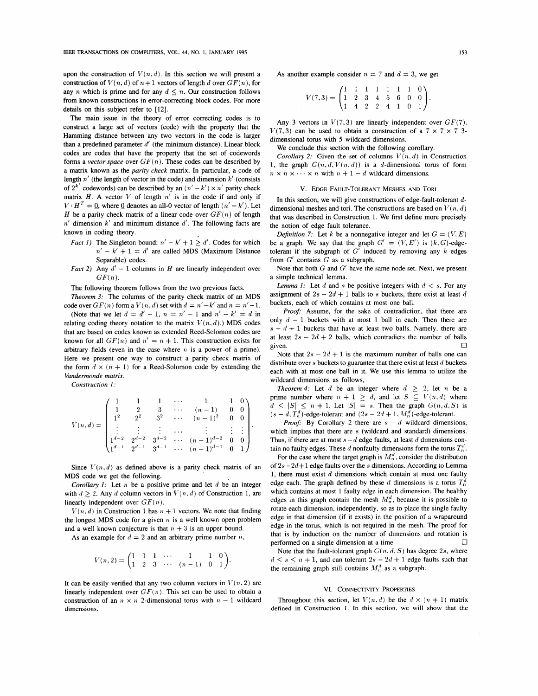upon the construction of  $V(n, d)$ . In this section we will present a construction of  $V(n, d)$  of  $n+1$  vectors of length *d* over  $GF(n)$ , for any *n* which is prime and for any  $d \leq n$ . Our construction follows from known constructions in error-correcting block codes. For more details on this subject refer to **[12].** 

The main issue in the theory of error correcting codes is to construct a large set of vectors (code) with the property that the Hamming distance between any two vectors in the code is larger than a predefined parameter *d'* (the minimum distance). Linear block codes are codes that have the property that the set of codewords forms a *vector space* over  $GF(n)$ . These codes can be described by a matrix known as the *parity check* matrix. In particular, a code of length  $n'$  (the length of vector in the code) and dimension  $k'$  (consists of  $2^{k'}$  codewords) can be described by an  $(n' - k') \times n'$  parity check matrix  $H$ . A vector  $V$  of length  $n'$  is in the code if and only if  $V \cdot H^T = 0$ , where 0 denotes an all-0 vector of length  $(n' - k')$ . Let *H* be a parity check matrix of a linear code over  $GF(n)$  of length *n'* dimension *k'* and minimum distance *d'.* The following facts are known in coding theory.

- *Fact 1*) The Singleton bound:  $n' k' + 1 \ge d'$ . Codes for which  $n' - k' + 1 = d'$  are called MDS (Maximum Distance Separable) codes.
- *Fact 2)* Any  $d' 1$  columns in *H* are linearly independent over *GF(n).*

The following theorem follows from the two previous facts.

*Theorem 3:* The columns of the parity check matrix of an MDS code over  $GF(n)$  form a  $V(n, d)$  set with  $d = n' - k'$  and  $n = n' - 1$ . (Note that we let  $d = d' - 1$ ,  $n = n' - 1$  and  $n' - k' = d$  in relating coding theory notation to the matrix  $V(n, d)$ .) MDS codes that are based on codes known as extended Reed-Solomon codes are known for all  $GF(n)$  and  $n' = n + 1$ . This construction exists for arbitrary fields (even in the case where *11* is a power of a prime). Here we present one way to construct **a** parity check matrix of the form  $d \times (n + 1)$  for a Reed-Solomon code by extending the *Vandermonde matrix.* 

*Construction I:* 

$$
V(n,d)=\begin{pmatrix}1&1&1&\cdots&1&1&0\\1&2&3&\cdots&(n-1)&0&0\\1^2&2^2&3^2&\cdots&(n-1)^2&0&0\\ \vdots&\vdots&\vdots&\cdots&\vdots&\vdots&\vdots\\ 1^{d-2}&2^{d-2}&3^{d-2}&\cdots&(n-1)^{d-2}&0&0\\ 1^{d-1}&2^{d-1}&3^{d-1}&\cdots&(n-1)^{d-1}&0&1\end{pmatrix}.
$$

Since  $V(n,d)$  as defined above is a parity check matrix of an **MDS** code we get the following.

*Corollary I:* Let  $n$  be a positive prime and let  $d$  be an integer with  $d \geq 2$ . Any d column vectors in  $V(n, d)$  of Construction 1, are linearly independent over  $GF(n)$ .

 $V(n, d)$  in Construction 1 has  $n + 1$  vectors. We note that finding the longest MDS code for a given  $n$  is a well known open problem and a well known conjecture is that  $n + 3$  is an upper bound.

As an example for  $d = 2$  and an arbitrary prime number *n*,

$$
V(n,2) = \begin{pmatrix} 1 & 1 & 1 & \cdots & 1 & 1 & 0 \\ 1 & 2 & 3 & \cdots & (n-1) & 0 & 1 \end{pmatrix}.
$$

It can be easily verified that any two column vectors in  $V(n, 2)$  are linearly independent over  $GF(n)$ . This set can be used to obtain a construction of an  $n \times n$  2-dimensional torus with  $n-1$  wildcard Throughout this section, let  $V(n,d)$  be the  $d \times (n+1)$  matrix dimensions. defined **in Construction** 1. In **this section,** we **will show that the** 

As another example consider  $n = 7$  and  $d = 3$ , we get

$$
V(7,3) = \begin{pmatrix} 1 & 1 & 1 & 1 & 1 & 1 & 1 & 0 \\ 1 & 2 & 3 & 4 & 5 & 6 & 0 & 0 \\ 1 & 4 & 2 & 2 & 4 & 1 & 0 & 1 \end{pmatrix}.
$$

Any 3 vectors in  $V(7,3)$  are linearly independent over  $GF(7)$ .  $V(7,3)$  can be used to obtain a construction of a  $7 \times 7 \times 7$  3dimensional torus with *5* wildcard dimensions.

We conclude this section with the following corollary.

*Corollary 2:* Given the set of columns  $V(n, d)$  in Construction 1, the graph  $G(n, d, V(n, d))$  is a d-dimensional torus of form  $n \times n \times \cdots \times n$  with  $n + 1 - d$  wildcard dimensions.

#### v. EDGE FAULT-TOLERANT MESHES AND TORI

In this section, we will give constructions of edge-fault-tolerant *d*dimensional meshes and tori. The constructions are based on  $V(n, d)$ that was described in Construction **1.** We first define more precisely the notion of edge fault tolerance.

*Definition 7:* Let *k* be a nonnegative integer and let  $G = (V, E)$ be a graph. We say that the graph  $G' = (V, E')$  is  $(k, G)$ -edgetolerant if the subgraph of  $G'$  induced by removing any  $k$  edges from *G'* contains *G* as a subgraph.

Note that both G and *G'* have the same node set. Next, we present a simple technical lemma.

*Lemma 1:* Let *d* and *s* be positive integers with  $d < s$ . For any assignment of  $2s - 2d + 1$  balls to *s* buckets, there exist at least *d* buckets, each of which contains at most one ball.

*Proof:* Assume, for the sake of contradiction, that there are only  $d - 1$  buckets with at most 1 ball in each. Then there are  $s - d + 1$  buckets that have at least two balls. Namely, there are at least  $2s - 2d + 2$  balls, which contradicts the number of balls given. given.  $\Box$ 

Note that  $2s - 2d + 1$  is the maximum number of balls one can distribute over **s** buckets to guarantee that there exist at least d buckets each with at most one ball in it. We use this lemma to utilize the wildcard dimensions as follows,

*Theorem 4:* Let *d* be an integer where  $d \geq 2$ , let *n* be a prime number where  $n + 1 \ge d$ , and let  $S \subseteq V(n, d)$  where  $d \leq |S| \leq n + 1$ . Let  $|S| = s$ . Then the graph  $G(n, d, S)$  is  $(s - d, T_n^d)$ -edge-tolerant and  $(2s - 2d + 1, M_n^d)$ -edge-tolerant.

*Proof:* By Corollary 2 there are  $s - d$  wildcard dimensions, which implies that there are *s* (wildcard and standard) dimensions. Thus, if there are at most  $s - d$  edge faults, at least *d* dimensions contain no faulty edges. These *d* nonfaulty dimensions form the torus  $T_n^d$ .

For the case where the target graph is  $M_n^d$ , consider the distribution of *2s* - *2d+* 1 edge faults over the **s** dimensions. According **to** Lemma 1, there must exist *d* dimensions which contain at most one faulty edge each. The graph defined by these *d* dimensions is a torus  $T_n^d$ which contains at most **1** faulty edge in each dimension. The healthy edges in this graph contain the mesh  $M_n^d$ , because it is possible to rotate each dimension, independently, *so* as to place the single faulty edge in that dimension (if it exists) in the position of a wraparound edge in the torus, which is not required in the mesh. The proof for that is by induction on the number of dimensions and rotation is *0*  performed on a single dimension at a time.

Note that the fault-tolerant graph  $G(n,d,\mathcal{S})$  has degree 2s, where  $d \leq s \leq n+1$ , and can tolerant  $2s - 2d + 1$  edge faults such that the remaining graph still contains  $M_n^d$  as a subgraph.

### **VI.** CONNECTIVITY PROPERTIES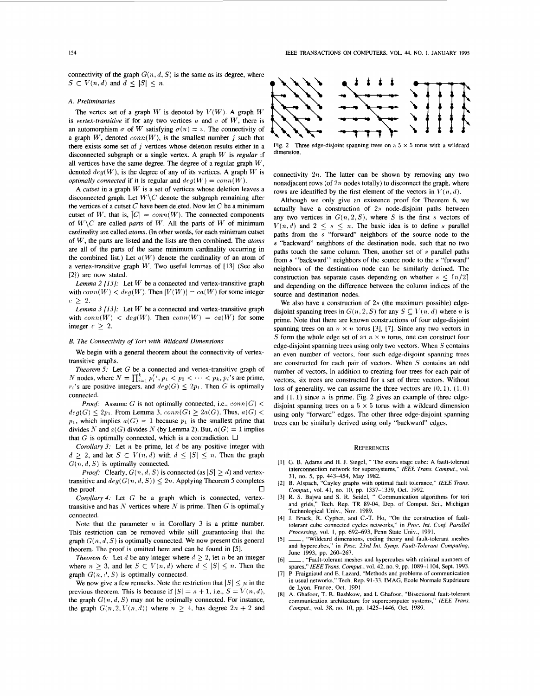connectivity of the graph  $G(n, d, S)$  is the same as its degree, where  $S \subset V(n,d)$  and  $d \leq |S| \leq n$ .

### **A.** *Preliminaries*

The vertex set of a graph W is denoted by  $V(W)$ . A graph W is *vertex-transitive* if for any two vertices  $u$  and  $v$  of  $W$ , there is an automorphism  $\sigma$  of *W* satisfying  $\sigma(u) = v$ . The connectivity of a graph W, denoted  $conn(W)$ , is the smallest number *i* such that there exists some set of  $j$  vertices whose deletion results either in a disconnected subgraph or a single vertex. A graph W is *regular* if all vertices have the same degree. The degree of a regular graph *W,*  denoted  $deg(W)$ , is the degree of any of its vertices. A graph W is *optimally connected* if it is regular and  $deg(W) = conn(W)$ .

A *cutset* in a graph  $W$  is a set of vertices whose deletion leaves a disconnected graph. Let  $W \backslash C$  denote the subgraph remaining after the vertices **of** a cutset C have been deleted. Now let *C* be a minimum cutset of W, that is,  $[C] = \text{conn}(W)$ . The connected components of  $W\setminus C$  are called *parts* of W. All the parts of W of minimum cardinality are called *atoms*. (In other words, for each minimum cutset of W, the parts are listed and the lists are then combined. The *atoms*  are all of the parts of the same minimum cardinality occurring in the combined list.) Let  $a(W)$  denote the cardinality of an atom of a vertex-transitive graph **11,'.** Two useful lemmas of [ **131** (See also **[2])** are now stated.

*Lemma* 2 *[13]:* Let *Ur* be a connected and vertex-transitive graph with  $conn(W) < deg(W)$ . Then  $|V(W)| = ca(W)$  for some integer  $c > 2$ .

*Lemma 3*  $[13]$ *:* Let  $W$  be a connected and vertex-transitive graph with  $conn(W) < deg(W)$ . Then  $conn(W) = ca(W)$  for some integer  $c \geq 2$ .

### *B. The Connectivity* of *Tori with Wildcard Dimensions*

We begin with a general theorem about the connectivity of vertextransitive graphs.

*Theorem 5:* Let G be a connected and vertex-transitive graph of *N* nodes, where  $N = \prod_{i=1}^{k} p_i^{r_i}$ ,  $p_1 < p_2 < \cdots < p_k$ ,  $p_i$ 's are prime,  $r_i$ 's are positive integers, and  $deg(G) \leq 2p_1$ . Then *G* is optimally connected.

*Proof:* Assume G is not optimally connected, i.e.,  $conn(G)$  $deg(G) \leq 2p_1$ . From Lemma 3,  $conn(G) \geq 2a(G)$ . Thus,  $a(G)$  $p_1$ , which implies  $a(G) = 1$  because  $p_1$  is the smallest prime that divides N and  $a(G)$  divides N (by Lemma 2). But,  $a(G) = 1$  implies that *G* is optimally connected, which is a contradiction.  $\Box$ 

*Corollary 3:* Let *n* be prime, let *d* be any positive integer with  $d \geq 2$ , and let  $S \subset V(n,d)$  with  $d \leq |S| \leq n$ . Then the graph  $G(n, d, S)$  is optimally connected.

*Proof:* Clearly,  $G(n, d, S)$  is connected (as  $|S| \ge d$ ) and vertextransitive and  $deg(G(n, d, S)) \leq 2n$ . Applying Theorem 5 completes the proof.  $\Box$ 

*Corollury4:* Let *G* be a graph which is connected, vertextransitive and has  $N$  vertices where  $N$  is prime. Then  $G$  is optimally connected.

Note that the parameter  $n$  in Corollary 3 is a prime number. This restriction can be removed while still guaranteeing that the graph  $G(n, d, S)$  is optimally connected. We now present this general theorem. The proof is omitted here and can be found in *[5].* 

*Theorem 6:* Let *d* be any integer where  $d \geq 2$ , let *n* be an integer where  $n \geq 3$ , and let  $S \subset V(n,d)$  where  $d \leq |S| \leq n$ . Then the graph  $G(n, d, S)$  is optimally connected.

We now give a few remarks. Note the restriction that  $|S| \leq n$  in the previous theorem. This is because if  $|S| = n + 1$ , i.e.,  $S = V(n, d)$ , the graph  $G(n, d, S)$  may not be optimally connected. For instance, the graph  $G(n,2,V(n,d))$  where  $n \geq 4$ , has degree  $2n + 2$  and



Fig. 2 Three edge-disjoint spanning trees on a  $5 \times 5$  torus with a wildcard dimension.

connectivity  $2n$ . The latter can be shown by removing any two nonadjacent rows **(of** *2n* nodes totally) to disconnect the graph, where rows are identified by the first element of the vectors in  $V(n, d)$ .

Although we only give an existence proof for Theorem 6, we actually have a construction of *2s* node-disjoint paths between any two vertices in  $G(n,2,S)$ , where *S* is the first *s* vectors of  $V(n,d)$  and  $2 \leq s \leq n$ . The basic idea is to define *s* parallel paths from the **s** "forward" neighbors of the source node to the *s* "backward" neighbors of the destination node, such that no two paths touch the same column. Then, another set of **s** parallel paths from **s** "backward" neighbors of the source node to the **s** "forward" neighbors of the destination node can be similarly defined. The construction has separate cases depending on whether  $s < \lfloor n/2 \rfloor$ and depending on the difference between the column indices of the source and destination nodes.

We also have a construction of  $2s$  (the maximum possible) edgedisjoint spanning trees in  $G(n, 2, S)$  for any  $S \subseteq V(n, d)$  where *n* is prime. Note that there are known constructions of four edge-disjoint spanning trees on an  $n \times n$  torus [3], [7]. Since any two vectors in *S* form the whole edge set of an  $n \times n$  torus, one can construct four edge-disjoint spanning trees using only two vectors. When *S* contains an even number of vectors, four such edge-disjoint spanning trees are constructed for each pair **of** vectors. When *5'* contains an odd number of vectors, in addition to creating four trees for each pair **of**  vectors, six trees are constructed for a set of three vectors. Without loss of generality, we can assume the three vectors are  $(0, 1)$ ,  $(1, 0)$ and  $(1, 1)$  since *n* is prime. Fig. 2 gives an example of three edgedisjoint spanning trees on a  $5 \times 5$  torus with a wildcard dimension using only "forward" edges. The other three edge-disjoint spanning trees can be similarly derived using only "backward" edges.

#### **REFERENCES**

- [1] G. B. Adams and H. J. Siegel, " The extra stage cube: A fault-tolerant interconnection network for supersystems," IEEE *Trans. Comput.,* vol. 31, no. 5, pp. 443-454, May 1982.
- [2] B. Alspach, "Cayley graphs with optimal fault tolerance," IEEE *Trans. Compur.,* vol. **41,** no. IO, pp. 1337-1339, Oct. 1992.
- [3] R. **S.** Bajwa and **S.** R. Seidel, " Communication algorithms for tori and grids," Tech. Rep. TR 89-04, Dep. of Comput. Sci., Michigan Technological **Univ.,** Nov. 1989.
- [4] J. Bruck, R. Cypher, and C.-T. Ho, "On the construction of faulttolerant cube connected cycles networks," in *Pror. Int. Con5 Parallel Processing,* vol. I, pp. 692-693, Penn State Univ., 1991.
- [5] \_\_\_, "Wildcard dimensions, coding theory and fault-tolerant meshes and hypercubes," in *Proc. 23rd Int. Symp. Faulr-Tolerant Computing,*  June 1993, pp. 260-267.
- [6] \_\_\_\_, "Fault-tolerant meshes and hypercubes with minimal numbers of spares,"IEEE *Trans. Comput.,* vol. 42, no. 9, pp. 1089-1 104, Sept. 1993.
- [7] P. Fraigniaud and E. Lazard, "Methods and problems of communication in usual networks," Tech. Rep. 91-33, IMAG, Ecole Normale Supérieure de Lyon, France, Oct. 1991.
- **[SI A.** Ghafoor, T. R. **Bashkow,** and **I.** Ghafoor, "Bisectional fault-tolerant communication architecture for supercomputer systems," *fEEE Trans. Compuf.,* vol. 38, no. IO, **pp.** 1425-1446, Oct. 1989.